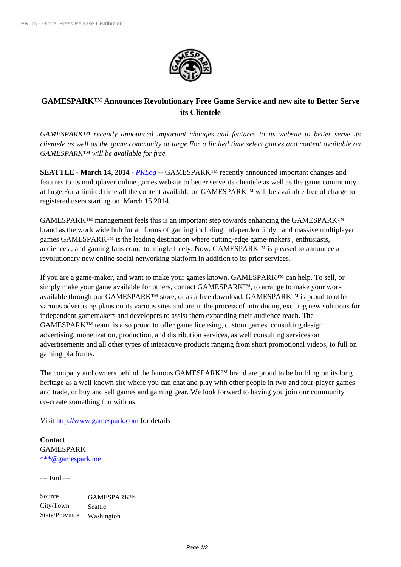

## **GAMESPARK™ Announces Revol[utionary Free G](https://biz.prlog.org/gamespark/)ame Service and new site to Better Serve its Clientele**

*GAMESPARK™ recently announced important changes and features to its website to better serve its clientele as well as the game community at large.For a limited time select games and content available on GAMESPARK™ will be available for free.*

**SEATTLE** - **March 14, 2014** - *PRLog* -- GAMESPARK™ recently announced important changes and features to its multiplayer online games website to better serve its clientele as well as the game community at large.For a limited time all the content available on GAMESPARK™ will be available free of charge to registered users starting on Mar[ch 15 2](https://www.prlog.org)014.

 $GAMESPARK<sup>TM</sup>$  management feels this is an important step towards enhancing the GAMESPARK<sup>™</sup> brand as the worldwide hub for all forms of gaming including independent,indy, and massive multiplayer games GAMESPARK<sup>™</sup> is the leading destination where cutting-edge game-makers, enthusiasts, audiences , and gaming fans come to mingle freely. Now, GAMESPARK™ is pleased to announce a revolutionary new online social networking platform in addition to its prior services.

If you are a game-maker, and want to make your games known, GAMESPARK™ can help. To sell, or simply make your game available for others, contact GAMESPARK™, to arrange to make your work available through our GAMESPARK™ store, or as a free download. GAMESPARK™ is proud to offer various advertising plans on its various sites and are in the process of introducing exciting new solutions for independent gamemakers and developers to assist them expanding their audience reach. The  $GAMESPARK<sup>TM</sup>$  team is also proud to offer game licensing, custom games, consulting, design, advertising, monetization, production, and distribution services, as well consulting services on advertisements and all other types of interactive products ranging from short promotional videos, to full on gaming platforms.

The company and owners behind the famous GAMESPARK™ brand are proud to be building on its long heritage as a well known site where you can chat and play with other people in two and four-player games and trade, or buy and sell games and gaming gear. We look forward to having you join our community co-create something fun with us.

Visit http://www.gamespark.com for details

**Contact** GAMESPARK \*\*\*[@gamespark.me](http://www.gamespark.com)

--- End ---

[Source](https://www.prlog.org/email-contact.html#12295802) GAMESPARK™ City/Town Seattle State/Province Washington